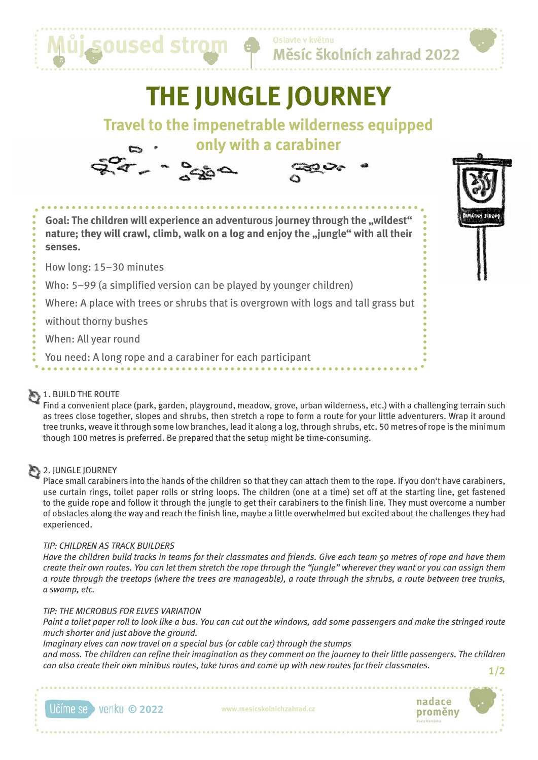

Měsíc školních zahrad 2022

# **THE JUNGLE JOURNEY**

# **Travel to the impenetrable wilderness equipped**







**Goal: The children will experience an adventurous journey through the "wildest"** nature; they will crawl, climb, walk on a log and enjoy the "jungle" with all their **senses.**

How long: 15–30 minutes

Who: 5–99 (a simplified version can be played by younger children)

Where: A place with trees or shrubs that is overgrown with logs and tall grass but

without thorny bushes

When: All year round

You need: A long rope and a carabiner for each participant

#### 1. BUILD THE ROUTE

Find a convenient place (park, garden, playground, meadow, grove, urban wilderness, etc.) with a challenging terrain such as trees close together, slopes and shrubs, then stretch a rope to form a route for your little adventurers. Wrap it around tree trunks, weave it through some low branches, lead it along a log, through shrubs, etc. 50 metres of rope is the minimum though 100 metres is preferred. Be prepared that the setup might be time-consuming.

### 2. JUNGLE JOURNEY

Place small carabiners into the hands of the children so that they can attach them to the rope. If you don't have carabiners, use curtain rings, toilet paper rolls or string loops. The children (one at a time) set off at the starting line, get fastened to the guide rope and follow it through the jungle to get their carabiners to the finish line. They must overcome a number of obstacles along the way and reach the finish line, maybe a little overwhelmed but excited about the challenges they had experienced.

#### *TIP: CHILDREN AS TRACK BUILDERS*

*Have the children build tracks in teams for their classmates and friends. Give each team 50 metres of rope and have them create their own routes. You can let them stretch the rope through the "jungle" wherever they want or you can assign them a route through the treetops (where the trees are manageable), a route through the shrubs, a route between tree trunks, a swamp, etc.*

#### *TIP: THE MICROBUS FOR ELVES VARIATION*

*Paint a toilet paper roll to look like a bus. You can cut out the windows, add some passengers and make the stringed route much shorter and just above the ground.*

*Imaginary elves can now travel on a special bus (or cable car) through the stumps*

*and moss. The children can refine their imagination as they comment on the journey to their little passengers. The children can also create their own minibus routes, take turns and come up with new routes for their classmates.* **1/2**